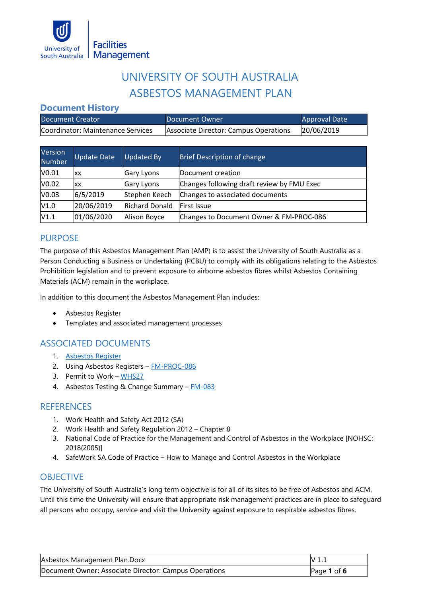

# UNIVERSITY OF SOUTH AUSTRALIA ASBESTOS MANAGEMENT PLAN

## **Document History**

| Document Creator                  | Document Owner                        | Approval Date |
|-----------------------------------|---------------------------------------|---------------|
| Coordinator: Maintenance Services | Associate Director: Campus Operations | 20/06/2019    |

| Version<br><b>Number</b> | <b>Update Date</b> | <b>Updated By</b>     | <b>Brief Description of change</b>         |
|--------------------------|--------------------|-----------------------|--------------------------------------------|
| V0.01                    | XХ                 | Gary Lyons            | Document creation                          |
| V0.02                    | ХX                 | Gary Lyons            | Changes following draft review by FMU Exec |
| V0.03                    | 6/5/2019           | Stephen Keech         | Changes to associated documents            |
| V1.0                     | 20/06/2019         | <b>Richard Donald</b> | <b>IFirst Issue</b>                        |
| V1.1                     | 01/06/2020         | Alison Boyce          | Changes to Document Owner & FM-PROC-086    |

# PURPOSE

The purpose of this Asbestos Management Plan (AMP) is to assist the University of South Australia as a Person Conducting a Business or Undertaking (PCBU) to comply with its obligations relating to the Asbestos Prohibition legislation and to prevent exposure to airborne asbestos fibres whilst Asbestos Containing Materials (ACM) remain in the workplace.

In addition to this document the Asbestos Management Plan includes:

- Asbestos Register
- Templates and associated management processes

# ASSOCIATED DOCUMENTS

- 1. [Asbestos Register](https://mymailunisaedu.sharepoint.com/:x:/r/teams/FMU/_layouts/15/Doc.aspx?sourcedoc=%7B69fbde96-8bf0-40ae-8d8d-e7525dc979c3%7D&cid=2e3a0f9f-232b-4167-9a8c-5f5fee3cb168)
- 2. Using Asbestos Registers [FM-PROC-086](https://mymailunisaedu.sharepoint.com/:w:/r/teams/FMU/_layouts/15/Doc.aspx?sourcedoc=%7B1D5EB3B8-F547-4AA1-89F5-563814A8434D%7D&file=Using%20Asbestos%20Register%20.doc&action=default&mobileredirect=true)
- 3. Permit to Work [WHS27](https://i.unisa.edu.au/staff/ptc/resources/whs-resources/whs-forms/)
- 4. Asbestos Testing & Change Summary [FM-083](https://mymailunisaedu.sharepoint.com/:w:/r/teams/FMU/FMU%20Documents/Asbestos%20Testing%20and%20Removal%20Summary%20Process.docx?d=wd9a083630e6d4771a7003b127eccbbbe&csf=1&e=t8oPUD)

#### **REFERENCES**

- 1. Work Health and Safety Act 2012 (SA)
- 2. Work Health and Safety Regulation 2012 Chapter 8
- 3. National Code of Practice for the Management and Control of Asbestos in the Workplace [NOHSC: 2018(2005)]
- 4. SafeWork SA Code of Practice How to Manage and Control Asbestos in the Workplace

## **OBJECTIVE**

The University of South Australia's long term objective is for all of its sites to be free of Asbestos and ACM. Until this time the University will ensure that appropriate risk management practices are in place to safeguard all persons who occupy, service and visit the University against exposure to respirable asbestos fibres.

| Asbestos Management Plan.Docx                         | V 1.1         |
|-------------------------------------------------------|---------------|
| Document Owner: Associate Director: Campus Operations | Page 1 of $6$ |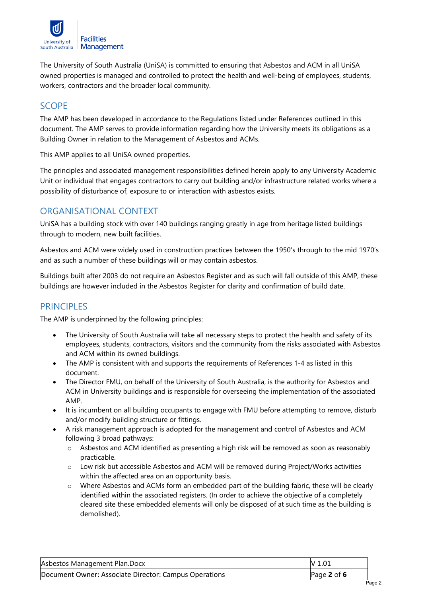

The University of South Australia (UniSA) is committed to ensuring that Asbestos and ACM in all UniSA owned properties is managed and controlled to protect the health and well-being of employees, students, workers, contractors and the broader local community.

## **SCOPE**

The AMP has been developed in accordance to the Regulations listed under References outlined in this document. The AMP serves to provide information regarding how the University meets its obligations as a Building Owner in relation to the Management of Asbestos and ACMs.

This AMP applies to all UniSA owned properties.

The principles and associated management responsibilities defined herein apply to any University Academic Unit or individual that engages contractors to carry out building and/or infrastructure related works where a possibility of disturbance of, exposure to or interaction with asbestos exists.

# ORGANISATIONAL CONTEXT

UniSA has a building stock with over 140 buildings ranging greatly in age from heritage listed buildings through to modern, new built facilities.

Asbestos and ACM were widely used in construction practices between the 1950's through to the mid 1970's and as such a number of these buildings will or may contain asbestos.

Buildings built after 2003 do not require an Asbestos Register and as such will fall outside of this AMP, these buildings are however included in the Asbestos Register for clarity and confirmation of build date.

# **PRINCIPLES**

The AMP is underpinned by the following principles:

- The University of South Australia will take all necessary steps to protect the health and safety of its employees, students, contractors, visitors and the community from the risks associated with Asbestos and ACM within its owned buildings.
- The AMP is consistent with and supports the requirements of References 1-4 as listed in this document.
- The Director FMU, on behalf of the University of South Australia, is the authority for Asbestos and ACM in University buildings and is responsible for overseeing the implementation of the associated AMP.
- It is incumbent on all building occupants to engage with FMU before attempting to remove, disturb and/or modify building structure or fittings.
- A risk management approach is adopted for the management and control of Asbestos and ACM following 3 broad pathways:
	- o Asbestos and ACM identified as presenting a high risk will be removed as soon as reasonably practicable.
	- o Low risk but accessible Asbestos and ACM will be removed during Project/Works activities within the affected area on an opportunity basis.
	- o Where Asbestos and ACMs form an embedded part of the building fabric, these will be clearly identified within the associated registers. (In order to achieve the objective of a completely cleared site these embedded elements will only be disposed of at such time as the building is demolished).

| Asbestos Management Plan.Docx                         | V 1.01        |
|-------------------------------------------------------|---------------|
| Document Owner: Associate Director: Campus Operations | Page $2$ of 6 |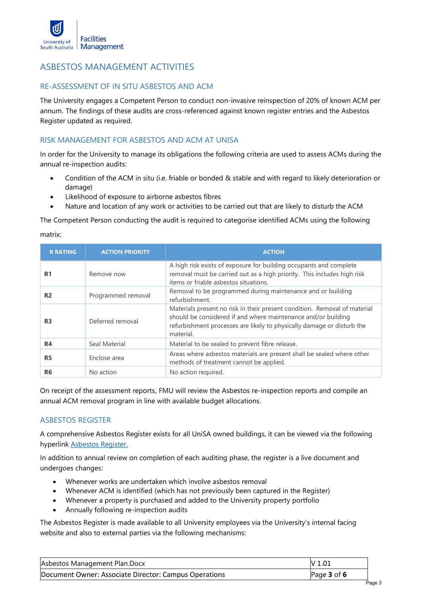

## ASBESTOS MANAGEMENT ACTIVITIES

#### RE-ASSESSMENT OF IN SITU ASBESTOS AND ACM

The University engages a Competent Person to conduct non-invasive reinspection of 20% of known ACM per annum. The findings of these audits are cross-referenced against known register entries and the Asbestos Register updated as required.

#### RISK MANAGEMENT FOR ASBESTOS AND ACM AT UNISA

In order for the University to manage its obligations the following criteria are used to assess ACMs during the annual re-inspection audits:

- Condition of the ACM in situ (i.e. friable or bonded & stable and with regard to likely deterioration or damage)
- Likelihood of exposure to airborne asbestos fibres
- Nature and location of any work or activities to be carried out that are likely to disturb the ACM

The Competent Person conducting the audit is required to categorise identified ACMs using the following matrix:

| <b>R RATING</b> | <b>ACTION PRIORITY</b> | <b>ACTION</b>                                                                                                                                                                                                                     |
|-----------------|------------------------|-----------------------------------------------------------------------------------------------------------------------------------------------------------------------------------------------------------------------------------|
| R <sub>1</sub>  | Remove now             | A high risk exists of exposure for building occupants and complete<br>removal must be carried out as a high priority. This includes high risk<br>items or friable asbestos situations.                                            |
| R <sub>2</sub>  | Programmed removal     | Removal to be programmed during maintenance and or building<br>refurbishment.                                                                                                                                                     |
| R <sub>3</sub>  | Deferred removal       | Materials present no risk in their present condition. Removal of material<br>should be considered if and where maintenance and/or building<br>refurbishment processes are likely to physically damage or disturb the<br>material. |
| <b>R4</b>       | Seal Material          | Material to be sealed to prevent fibre release.                                                                                                                                                                                   |
| <b>R5</b>       | Enclose area           | Areas where asbestos materials are present shall be sealed where other<br>methods of treatment cannot be applied.                                                                                                                 |
| R <sub>6</sub>  | No action              | No action required.                                                                                                                                                                                                               |

On receipt of the assessment reports, FMU will review the Asbestos re-inspection reports and compile an annual ACM removal program in line with available budget allocations.

#### ASBESTOS REGISTER

A comprehensive Asbestos Register exists for all UniSA owned buildings, it can be viewed via the following hyperlink [Asbestos Register](https://mymailunisaedu.sharepoint.com/:x:/r/teams/FMU/_layouts/15/Doc.aspx?sourcedoc=%7B69fbde96-8bf0-40ae-8d8d-e7525dc979c3%7D&cid=2e3a0f9f-232b-4167-9a8c-5f5fee3cb168)[.](https://mymailunisaedu.sharepoint.com/:x:/r/teams/FMU/_layouts/15/Doc.aspx?sourcedoc=%7B69fbde96-8bf0-40ae-8d8d-e7525dc979c3%7D&cid=2e3a0f9f-232b-4167-9a8c-5f5fee3cb168)

In addition to annual review on completion of each auditing phase, the register is a live document and undergoes changes:

- Whenever works are undertaken which involve asbestos removal
- Whenever ACM is identified (which has not previously been captured in the Register)
- Whenever a property is purchased and added to the University property portfolio
- Annually following re-inspection audits

The Asbestos Register is made available to all University employees via the University's internal facing website and also to external parties via the following mechanisms:

| Asbestos Management Plan.Docx                         | IV 1.01         |
|-------------------------------------------------------|-----------------|
| Document Owner: Associate Director: Campus Operations | Page $3$ of $6$ |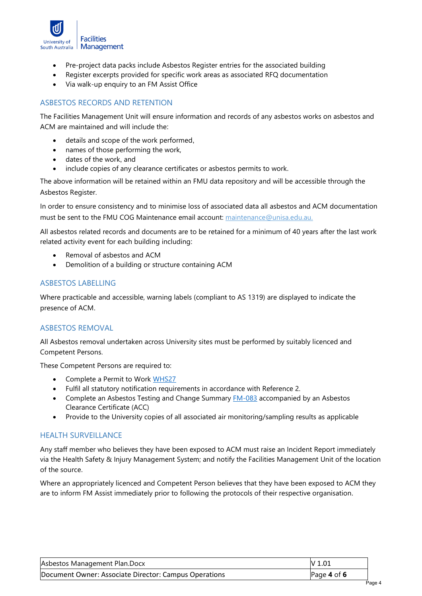

- Pre-project data packs include Asbestos Register entries for the associated building
- Register excerpts provided for specific work areas as associated RFQ documentation
- Via walk-up enquiry to an FM Assist Office

#### ASBESTOS RECORDS AND RETENTION

The Facilities Management Unit will ensure information and records of any asbestos works on asbestos and ACM are maintained and will include the:

- details and scope of the work performed,
- names of those performing the work,
- dates of the work, and
- include copies of any clearance certificates or asbestos permits to work.

The above information will be retained within an FMU data repository and will be accessible through the Asbestos Register.

In order to ensure consistency and to minimise loss of associated data all asbestos and ACM documentation must be sent to the FMU COG Maintenance email account: maintenance@unisa.edu.au.

All asbestos related records and documents are to be retained for a minimum of 40 years after the last work related activity event for each building including:

- Removal of asbestos and ACM
- Demolition of a building or structure containing ACM

#### ASBESTOS LABELLING

Where practicable and accessible, warning labels (compliant to AS 1319) are displayed to indicate the presence of ACM.

#### ASBESTOS REMOVAL

All Asbestos removal undertaken across University sites must be performed by suitably licenced and Competent Persons.

These Competent Persons are required to:

- Complete a Permit to Work [WHS27](https://i.unisa.edu.au/staff/ptc/resources/whs-resources/whs-forms/)
- Fulfil all statutory notification requirements in accordance with Reference 2.
- Complete an Asbestos Testing and Change Summary **[FM-083](https://mymailunisaedu.sharepoint.com/:w:/r/teams/FMU/FMU%20Documents/Asbestos%20Testing%20and%20Removal%20Summary%20Process.docx?d=wd9a083630e6d4771a7003b127eccbbbe&csf=1&e=t8oPUD)** accompanied by an Asbestos Clearance Certificate (ACC)
- Provide to the University copies of all associated air monitoring/sampling results as applicable

#### HEALTH SURVEILLANCE

Any staff member who believes they have been exposed to ACM must raise an Incident Report immediately via the Health Safety & Injury Management System; and notify the Facilities Management Unit of the location of the source.

Where an appropriately licenced and Competent Person believes that they have been exposed to ACM they are to inform FM Assist immediately prior to following the protocols of their respective organisation.

| Asbestos Management Plan.Docx                         | IV 1.01         |
|-------------------------------------------------------|-----------------|
| Document Owner: Associate Director: Campus Operations | Page $4$ of $6$ |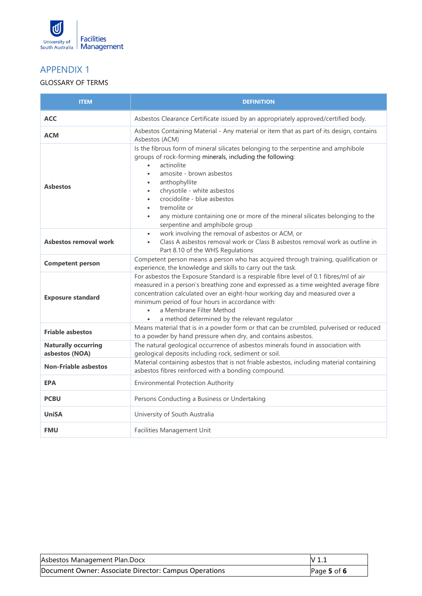

# APPENDIX 1

#### GLOSSARY OF TERMS

| <b>ITEM</b>                                  | <b>DEFINITION</b>                                                                                                                                                                                                                                                                                                                                                                                                                                                                                     |
|----------------------------------------------|-------------------------------------------------------------------------------------------------------------------------------------------------------------------------------------------------------------------------------------------------------------------------------------------------------------------------------------------------------------------------------------------------------------------------------------------------------------------------------------------------------|
| <b>ACC</b>                                   | Asbestos Clearance Certificate issued by an appropriately approved/certified body.                                                                                                                                                                                                                                                                                                                                                                                                                    |
| <b>ACM</b>                                   | Asbestos Containing Material - Any material or item that as part of its design, contains<br>Asbestos (ACM)                                                                                                                                                                                                                                                                                                                                                                                            |
| <b>Asbestos</b>                              | Is the fibrous form of mineral silicates belonging to the serpentine and amphibole<br>groups of rock-forming minerals, including the following:<br>actinolite<br>$\bullet$<br>amosite - brown asbestos<br>$\bullet$<br>anthophyllite<br>$\bullet$<br>chrysotile - white asbestos<br>$\bullet$<br>crocidolite - blue asbestos<br>$\bullet$<br>tremolite or<br>$\bullet$<br>any mixture containing one or more of the mineral silicates belonging to the<br>$\bullet$<br>serpentine and amphibole group |
| <b>Asbestos removal work</b>                 | work involving the removal of asbestos or ACM, or<br>$\bullet$<br>Class A asbestos removal work or Class B asbestos removal work as outline in<br>$\bullet$<br>Part 8.10 of the WHS Regulations                                                                                                                                                                                                                                                                                                       |
| <b>Competent person</b>                      | Competent person means a person who has acquired through training, qualification or<br>experience, the knowledge and skills to carry out the task.                                                                                                                                                                                                                                                                                                                                                    |
| <b>Exposure standard</b>                     | For asbestos the Exposure Standard is a respirable fibre level of 0.1 fibres/ml of air<br>measured in a person's breathing zone and expressed as a time weighted average fibre<br>concentration calculated over an eight-hour working day and measured over a<br>minimum period of four hours in accordance with:<br>a Membrane Filter Method<br>a method determined by the relevant regulator<br>$\bullet$                                                                                           |
| <b>Friable asbestos</b>                      | Means material that is in a powder form or that can be crumbled, pulverised or reduced<br>to a powder by hand pressure when dry, and contains asbestos.                                                                                                                                                                                                                                                                                                                                               |
| <b>Naturally occurring</b><br>asbestos (NOA) | The natural geological occurrence of asbestos minerals found in association with<br>geological deposits including rock, sediment or soil.                                                                                                                                                                                                                                                                                                                                                             |
| <b>Non-Friable asbestos</b>                  | Material containing asbestos that is not friable asbestos, including material containing<br>asbestos fibres reinforced with a bonding compound.                                                                                                                                                                                                                                                                                                                                                       |
| <b>EPA</b>                                   | <b>Environmental Protection Authority</b>                                                                                                                                                                                                                                                                                                                                                                                                                                                             |
| <b>PCBU</b>                                  | Persons Conducting a Business or Undertaking                                                                                                                                                                                                                                                                                                                                                                                                                                                          |
| <b>UniSA</b>                                 | University of South Australia                                                                                                                                                                                                                                                                                                                                                                                                                                                                         |
| <b>FMU</b>                                   | Facilities Management Unit                                                                                                                                                                                                                                                                                                                                                                                                                                                                            |

| Asbestos Management Plan.Docx                         | IV 1.1          |
|-------------------------------------------------------|-----------------|
| Document Owner: Associate Director: Campus Operations | Page $5$ of $6$ |